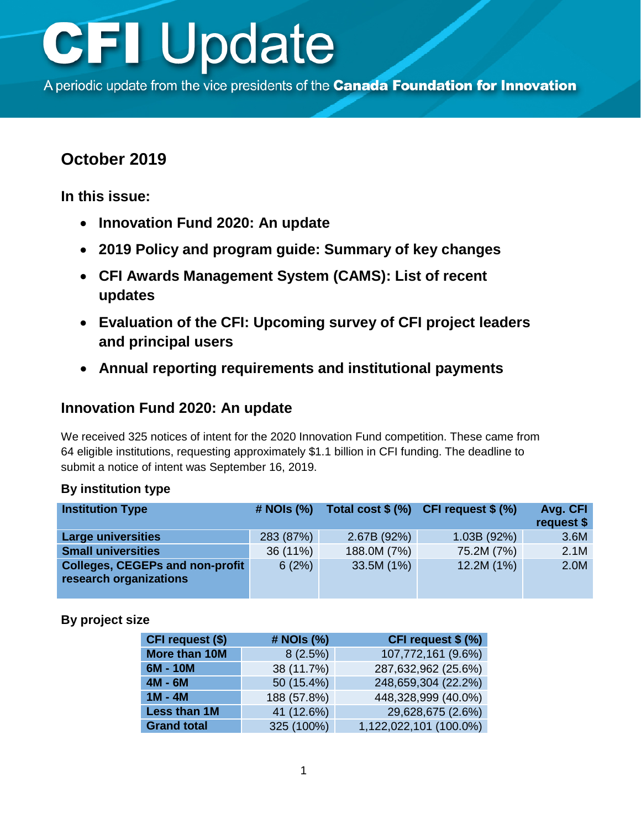A periodic update from the vice presidents of the Canada Foundation for Innovation

## **October 2019**

**In this issue:**

- **Innovation Fund 2020: An update**
- **[2019 Policy and program guide:](#page-1-0) Summary of key changes**
- **CFI Awards [Management System \(CAMS\): List of recent](#page-1-0) updates**
- **[Evaluation of the CFI: Upcoming survey of CFI project leaders](#page-2-0)  and principal users**
- **[Annual reporting requirements and institutional payments](#page-3-0)**

### **Innovation Fund 2020: An update**

We received 325 notices of intent for the 2020 Innovation Fund competition. These came from 64 eligible institutions, requesting approximately \$1.1 billion in CFI funding. The deadline to submit a notice of intent was September 16, 2019.

| <b>Institution Type</b>                                          | # NOIs (%) |             | Total cost $\$(\%)$ CFI request $\$(\%)$ | Avg. CFI<br>request \$ |
|------------------------------------------------------------------|------------|-------------|------------------------------------------|------------------------|
| <b>Large universities</b>                                        | 283 (87%)  | 2.67B (92%) | 1.03B(92%)                               | 3.6M                   |
| <b>Small universities</b>                                        | 36 (11%)   | 188.0M (7%) | 75.2M (7%)                               | 2.1M                   |
| <b>Colleges, CEGEPs and non-profit</b><br>research organizations | 6(2%)      | 33.5M (1%)  | 12.2M (1%)                               | 2.0M                   |

#### **By institution type**

#### **By project size**

| CFI request (\$)   | # NOIs (%)  | CFI request \$ (%)     |
|--------------------|-------------|------------------------|
| More than 10M      | 8(2.5%)     | 107,772,161 (9.6%)     |
| 6M - 10M           | 38 (11.7%)  | 287,632,962 (25.6%)    |
| $4M - 6M$          | 50 (15.4%)  | 248,659,304 (22.2%)    |
| $1M - 4M$          | 188 (57.8%) | 448,328,999 (40.0%)    |
| Less than 1M       | 41 (12.6%)  | 29,628,675 (2.6%)      |
| <b>Grand total</b> | 325 (100%)  | 1,122,022,101 (100.0%) |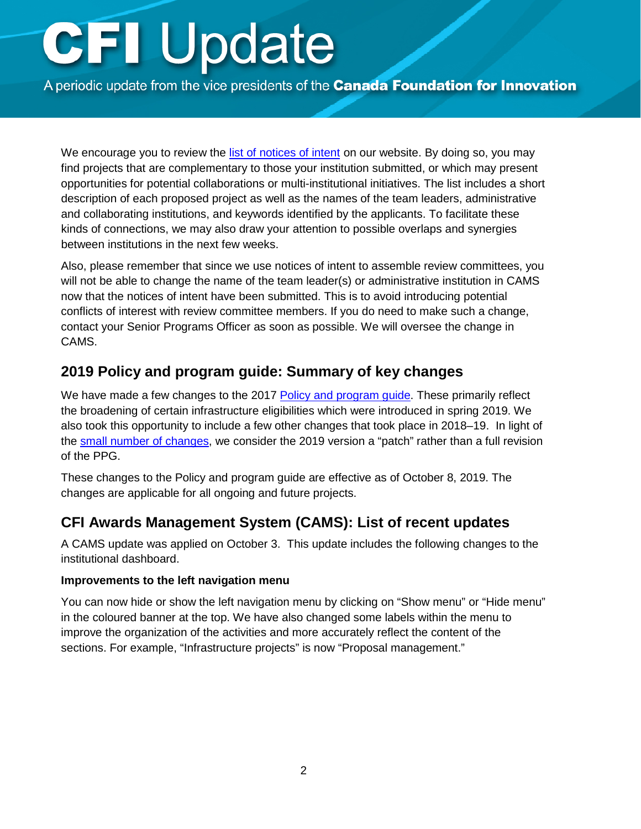<span id="page-1-0"></span>A periodic update from the vice presidents of the Canada Foundation for Innovation

We encourage you to review the [list of notices of intent](https://www.innovation.ca/awards/innovation-fund#tab-application-process) on our website. By doing so, you may find projects that are complementary to those your institution submitted, or which may present opportunities for potential collaborations or multi-institutional initiatives. The list includes a short description of each proposed project as well as the names of the team leaders, administrative and collaborating institutions, and keywords identified by the applicants. To facilitate these kinds of connections, we may also draw your attention to possible overlaps and synergies between institutions in the next few weeks.

Also, please remember that since we use notices of intent to assemble review committees, you will not be able to change the name of the team leader(s) or administrative institution in CAMS now that the notices of intent have been submitted. This is to avoid introducing potential conflicts of interest with review committee members. If you do need to make such a change, contact your Senior Programs Officer as soon as possible. We will oversee the change in CAMS.

### **2019 Policy and program guide: Summary of key changes**

We have made a few changes to the 2017 [Policy and program guide.](https://www.innovation.ca/awards/policy-and-program-guide-and-supplemental-information) These primarily reflect the broadening of certain infrastructure eligibilities which were introduced in spring 2019. We also took this opportunity to include a few other changes that took place in 2018–19. In light of the [small number of changes, w](https://www.innovation.ca/awards/policy-and-program-guide-and-supplemental-information)e consider the 2019 version a "patch" rather than a full revision of the PPG.

These changes to the Policy and program guide are effective as of October 8, 2019. The changes are applicable for all ongoing and future projects.

### **CFI Awards Management System (CAMS): List of recent updates**

A CAMS update was applied on October 3. This update includes the following changes to the institutional dashboard.

#### **Improvements to the left navigation menu**

You can now hide or show the left navigation menu by clicking on "Show menu" or "Hide menu" in the coloured banner at the top. We have also changed some labels within the menu to improve the organization of the activities and more accurately reflect the content of the sections. For example, "Infrastructure projects" is now "Proposal management."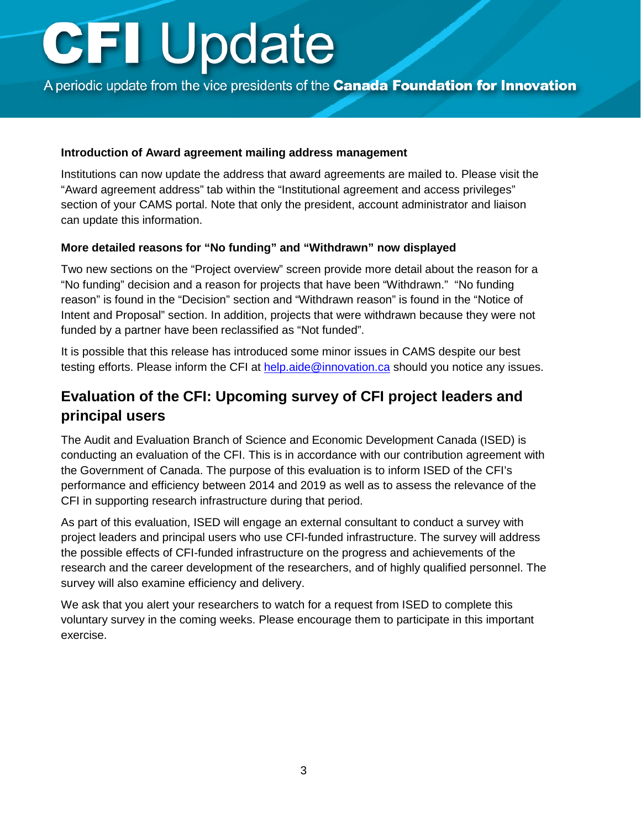<span id="page-2-0"></span>A periodic update from the vice presidents of the **Canada Foundation for Innovation** 

#### **Introduction of Award agreement mailing address management**

Institutions can now update the address that award agreements are mailed to. Please visit the "Award agreement address" tab within the "Institutional agreement and access privileges" section of your CAMS portal. Note that only the president, account administrator and liaison can update this information.

#### **More detailed reasons for "No funding" and "Withdrawn" now displayed**

Two new sections on the "Project overview" screen provide more detail about the reason for a "No funding" decision and a reason for projects that have been "Withdrawn." "No funding reason" is found in the "Decision" section and "Withdrawn reason" is found in the "Notice of Intent and Proposal" section. In addition, projects that were withdrawn because they were not funded by a partner have been reclassified as "Not funded".

It is possible that this release has introduced some minor issues in CAMS despite our best testing efforts. Please inform the CFI at [help.aide@innovation.ca](mailto:help.aide@innovation.ca) should you notice any issues.

## **Evaluation of the CFI: Upcoming survey of CFI project leaders and principal users**

The Audit and Evaluation Branch of Science and Economic Development Canada (ISED) is conducting an evaluation of the CFI. This is in accordance with our contribution agreement with the Government of Canada. The purpose of this evaluation is to inform ISED of the CFI's performance and efficiency between 2014 and 2019 as well as to assess the relevance of the CFI in supporting research infrastructure during that period.

As part of this evaluation, ISED will engage an external consultant to conduct a survey with project leaders and principal users who use CFI-funded infrastructure. The survey will address the possible effects of CFI-funded infrastructure on the progress and achievements of the research and the career development of the researchers, and of highly qualified personnel. The survey will also examine efficiency and delivery.

We ask that you alert your researchers to watch for a request from ISED to complete this voluntary survey in the coming weeks. Please encourage them to participate in this important exercise.